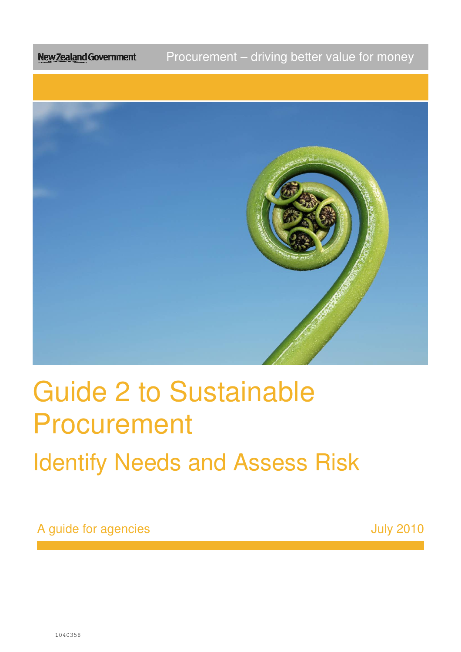Procurement – driving better value for money New Zealand Government



# Guide 2 to Sustainable Procurement Procurement<br>Identify Needs and Assess Risk

A guide for agencies and the set of the set of the set of the set of the set of the set of the set of the set o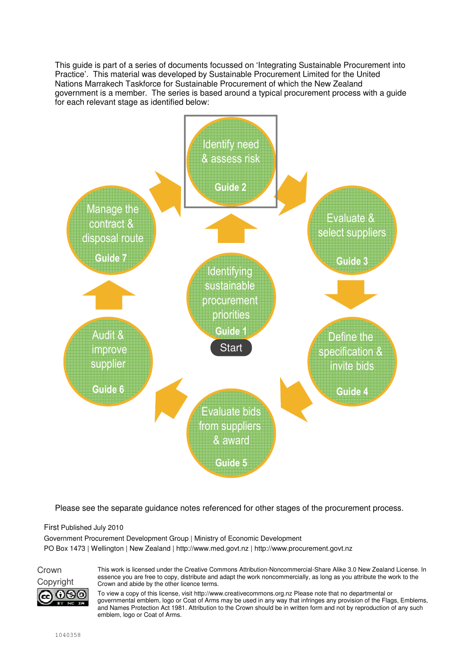This guide is part of a series of documents focussed on 'Integrating Sustainable Procurement into Practice'. This material was developed by Sustainable Procurement Limited for the United Nations Marrakech Taskforce for Sustainable Procurement of which the New Zealand government is a member. The series is based around a typical procurement process with a guide for each relevant stage as identified below:



Please see the separate guidance notes referenced for other stages of the procurement process.

First Published July 2010

Government Procurement Development Group | Ministry of Economic Development PO Box 1473 | Wellington | New Zealand | http://www.med.govt.nz | http://www.procurement.govt.nz

Crown (•)(ട)(o)

This work is licensed under the Creative Commons Attribution-Noncommercial-Share Alike 3.0 New Zealand License. In essence you are free to copy, distribute and adapt the work noncommercially, as long as you attribute the work to the Copyright Crown and abide by the other licence terms.

> To view a copy of this license, visit http://www.creativecommons.org.nz Please note that no departmental or governmental emblem, logo or Coat of Arms may be used in any way that infringes any provision of the Flags, Emblems, and Names Protection Act 1981. Attribution to the Crown should be in written form and not by reproduction of any such emblem, logo or Coat of Arms.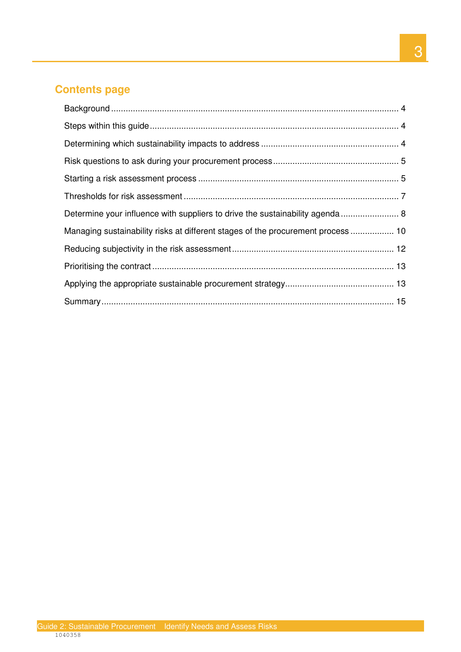## **Contents page**

| Determine your influence with suppliers to drive the sustainability agenda  8    |  |
|----------------------------------------------------------------------------------|--|
| Managing sustainability risks at different stages of the procurement process  10 |  |
|                                                                                  |  |
|                                                                                  |  |
|                                                                                  |  |
|                                                                                  |  |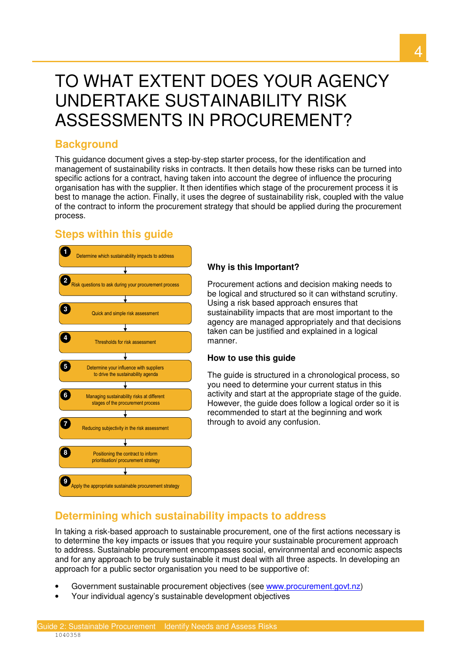## TO WHAT EXTENT DOES YOUR AGENCY UNDERTAKE SUSTAINABILITY RISK ASSESSMENTS IN PROCUREMENT?

## **Background**

 This guidance document gives a step-by-step starter process, for the identification and management of sustainability risks in contracts. It then details how these risks can be turned into specific actions for a contract, having taken into account the degree of influence the procuring organisation has with the supplier. It then identifies which stage of the procurement process it is best to manage the action. Finally, it uses the degree of sustainability risk, coupled with the value of the contract to inform the procurement strategy that should be applied during the procurement process.

## **Steps within this guide**



### **Why is this Important?**

 Procurement actions and decision making needs to be logical and structured so it can withstand scrutiny. Using a risk based approach ensures that sustainability impacts that are most important to the agency are managed appropriately and that decisions taken can be justified and explained in a logical manner.

#### **How to use this guide**

 The guide is structured in a chronological process, so you need to determine your current status in this activity and start at the appropriate stage of the guide. However, the guide does follow a logical order so it is recommended to start at the beginning and work through to avoid any confusion.

## **Determining which sustainability impacts to address**

 In taking a risk-based approach to sustainable procurement, one of the first actions necessary is to determine the key impacts or issues that you require your sustainable procurement approach to address. Sustainable procurement encompasses social, environmental and economic aspects and for any approach to be truly sustainable it must deal with all three aspects. In developing an approach for a public sector organisation you need to be supportive of:

- Government sustainable procurement objectives (see www.procurement.govt.nz)
- Your individual agency's sustainable development objectives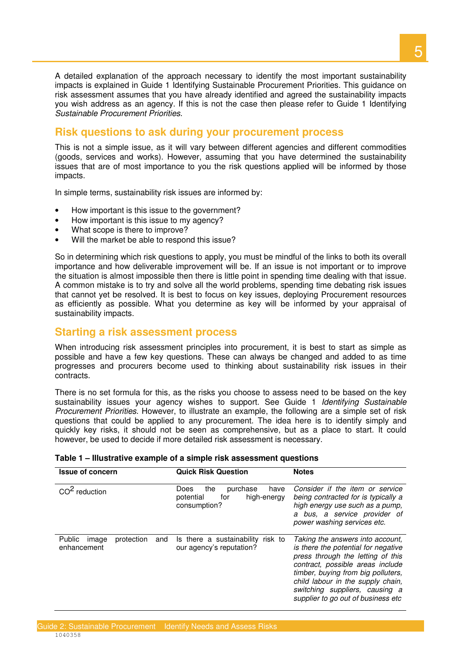A detailed explanation of the approach necessary to identify the most important sustainability impacts is explained in Guide 1 Identifying Sustainable Procurement Priorities. This guidance on risk assessment assumes that you have already identified and agreed the sustainability impacts you wish address as an agency. If this is not the case then please refer to Guide 1 Identifying Sustainable Procurement Priorities.

## **Risk questions to ask during your procurement process**

 This is not a simple issue, as it will vary between different agencies and different commodities (goods, services and works). However, assuming that you have determined the sustainability issues that are of most importance to you the risk questions applied will be informed by those impacts.

In simple terms, sustainability risk issues are informed by:

- How important is this issue to the government?
- How important is this issue to my agency?
- What scope is there to improve?
- Will the market be able to respond this issue?

 So in determining which risk questions to apply, you must be mindful of the links to both its overall importance and how deliverable improvement will be. If an issue is not important or to improve the situation is almost impossible then there is little point in spending time dealing with that issue. A common mistake is to try and solve all the world problems, spending time debating risk issues that cannot yet be resolved. It is best to focus on key issues, deploying Procurement resources as efficiently as possible. What you determine as key will be informed by your appraisal of sustainability impacts.

## **Starting a risk assessment process**

 When introducing risk assessment principles into procurement, it is best to start as simple as possible and have a few key questions. These can always be changed and added to as time progresses and procurers become used to thinking about sustainability risk issues in their contracts.

contracts.<br>There is no set formula for this, as the risks you choose to assess need to be based on the key sustainability issues your agency wishes to support. See Guide 1 *Identifying Sustainable* Procurement Priorities. However, to illustrate an example, the following are a simple set of risk questions that could be applied to any procurement. The idea here is to identify simply and quickly key risks, it should not be seen as comprehensive, but as a place to start. It could however, be used to decide if more detailed risk assessment is necessary.

| <b>Issue of concern</b>                             | <b>Quick Risk Question</b>                                                                | <b>Notes</b>                                                                                                                                                                                                                                                                                        |  |
|-----------------------------------------------------|-------------------------------------------------------------------------------------------|-----------------------------------------------------------------------------------------------------------------------------------------------------------------------------------------------------------------------------------------------------------------------------------------------------|--|
| $CO2$ reduction                                     | the<br>purchase<br><b>Does</b><br>have<br>for<br>high-energy<br>potential<br>consumption? | Consider if the item or service<br>being contracted for is typically a<br>high energy use such as a pump,<br>a bus, a service provider of<br>power washing services etc.                                                                                                                            |  |
| protection<br>Public<br>and<br>image<br>enhancement | Is there a sustainability<br>risk to<br>our agency's reputation?                          | Taking the answers into account.<br>is there the potential for negative<br>press through the letting of this<br>contract, possible areas include<br>timber, buying from big polluters,<br>child labour in the supply chain,<br>switching suppliers, causing a<br>supplier to go out of business etc |  |

#### **Table 1 – Illustrative example of a simple risk assessment questions**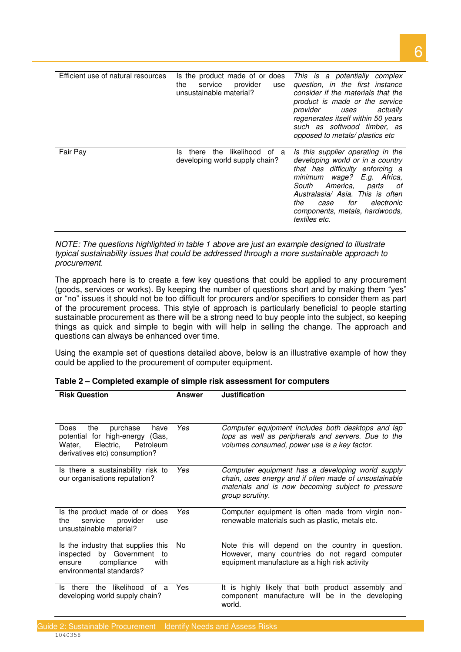| Efficient use of natural resources | Is the product made of or does<br>service<br>provider<br>the<br>use<br>unsustainable material? | This is a potentially complex<br>question, in the first instance<br>consider if the materials that the<br>product is made or the service<br>provider uses actually<br>regenerates itself within 50 years<br>such as softwood timber, as<br>opposed to metals/ plastics etc        |
|------------------------------------|------------------------------------------------------------------------------------------------|-----------------------------------------------------------------------------------------------------------------------------------------------------------------------------------------------------------------------------------------------------------------------------------|
| Fair Pay                           | likelihood of a<br>the<br>ls.<br>there<br>developing world supply chain?                       | Is this supplier operating in the<br>developing world or in a country<br>that has difficulty enforcing a<br>minimum wage? E.g. Africa,<br>America. parts<br>South<br>of<br>Australasia/ Asia. This is often<br>electronic<br>the<br>for<br>case<br>components, metals, hardwoods, |

textiles etc.

 NOTE: The questions highlighted in table 1 above are just an example designed to illustrate typical sustainability issues that could be addressed through a more sustainable approach to procurement.

 The approach here is to create a few key questions that could be applied to any procurement (goods, services or works). By keeping the number of questions short and by making them "yes" or "no" issues it should not be too difficult for procurers and/or specifiers to consider them as part of the procurement process. This style of approach is particularly beneficial to people starting sustainable procurement as there will be a strong need to buy people into the subject, so keeping things as quick and simple to begin with will help in selling the change. The approach and questions can always be enhanced over time.

 Using the example set of questions detailed above, below is an illustrative example of how they could be applied to the procurement of computer equipment.

| <b>Risk Question</b>                                                                                                                    | Answer | <b>Justification</b>                                                                                                                                                              |
|-----------------------------------------------------------------------------------------------------------------------------------------|--------|-----------------------------------------------------------------------------------------------------------------------------------------------------------------------------------|
|                                                                                                                                         |        |                                                                                                                                                                                   |
| purchase<br>the<br>Does<br>have<br>potential for high-energy (Gas,<br>Electric,<br>Petroleum<br>Water,<br>derivatives etc) consumption? | Yes    | Computer equipment includes both desktops and lap<br>tops as well as peripherals and servers. Due to the<br>volumes consumed, power use is a key factor.                          |
| Is there a sustainability risk to<br>our organisations reputation?                                                                      | Yes    | Computer equipment has a developing world supply<br>chain, uses energy and if often made of unsustainable<br>materials and is now becoming subject to pressure<br>group scrutiny. |
| Is the product made of or does<br>service<br>provider<br>the<br>use<br>unsustainable material?                                          | Yes    | Computer equipment is often made from virgin non-<br>renewable materials such as plastic, metals etc.                                                                             |
| Is the industry that supplies this<br>inspected by Government to<br>compliance<br>with<br>ensure<br>environmental standards?            | No.    | Note this will depend on the country in question.<br>However, many countries do not regard computer<br>equipment manufacture as a high risk activity                              |
| likelihood of<br>the<br>Is there<br>a<br>developing world supply chain?                                                                 | Yes    | It is highly likely that both product assembly and<br>component manufacture will be in the developing<br>world.                                                                   |

| Table 2 – Completed example of simple risk assessment for computers |  |  |  |
|---------------------------------------------------------------------|--|--|--|
|---------------------------------------------------------------------|--|--|--|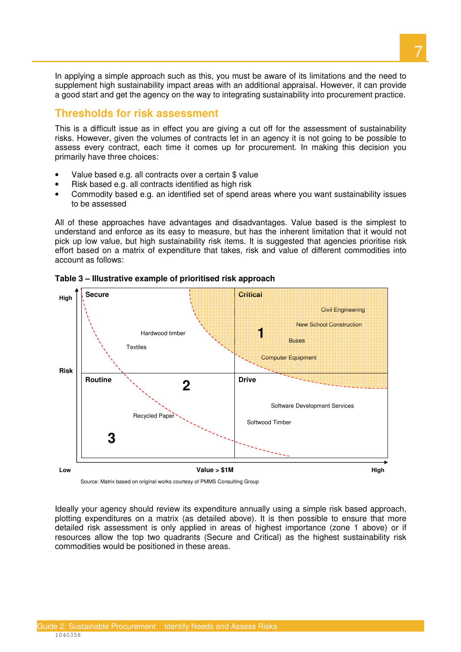In applying a simple approach such as this, you must be aware of its limitations and the need to supplement high sustainability impact areas with an additional appraisal. However, it can provide a good start and get the agency on the way to integrating sustainability into procurement practice.

## **Thresholds for risk assessment**

 This is a difficult issue as in effect you are giving a cut off for the assessment of sustainability risks. However, given the volumes of contracts let in an agency it is not going to be possible to assess every contract, each time it comes up for procurement. In making this decision you primarily have three choices:

- Value based e.g. all contracts over a certain \$ value
- Risk based e.g. all contracts identified as high risk
- • Commodity based e.g. an identified set of spend areas where you want sustainability issues to be assessed

 All of these approaches have advantages and disadvantages. Value based is the simplest to understand and enforce as its easy to measure, but has the inherent limitation that it would not pick up low value, but high sustainability risk items. It is suggested that agencies prioritise risk effort based on a matrix of expenditure that takes, risk and value of different commodities into account as follows:



 **Table 3 – Illustrative example of prioritised risk approach** 

Source: Matrix based on original works courtesy of PMMS Consulting Group

 Ideally your agency should review its expenditure annually using a simple risk based approach, plotting expenditures on a matrix (as detailed above). It is then possible to ensure that more detailed risk assessment is only applied in areas of highest importance (zone 1 above) or if resources allow the top two quadrants (Secure and Critical) as the highest sustainability risk commodities would be positioned in these areas.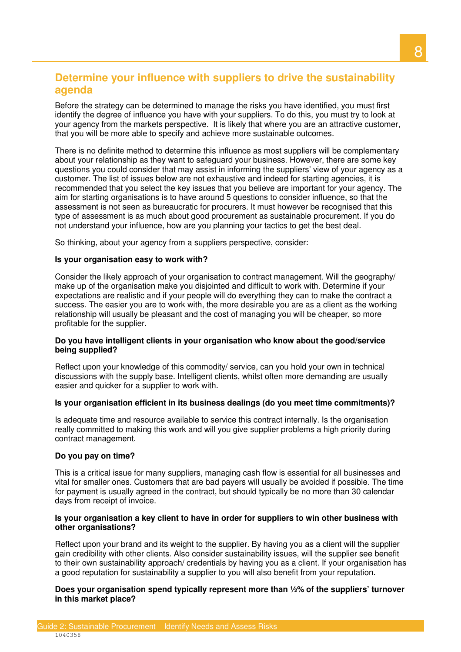## **Determine your influence with suppliers to drive the sustainability agenda**

 Before the strategy can be determined to manage the risks you have identified, you must first identify the degree of influence you have with your suppliers. To do this, you must try to look at your agency from the markets perspective. It is likely that where you are an attractive customer, that you will be more able to specify and achieve more sustainable outcomes.

 There is no definite method to determine this influence as most suppliers will be complementary about your relationship as they want to safeguard your business. However, there are some key questions you could consider that may assist in informing the suppliers' view of your agency as a customer. The list of issues below are not exhaustive and indeed for starting agencies, it is recommended that you select the key issues that you believe are important for your agency. The aim for starting organisations is to have around 5 questions to consider influence, so that the assessment is not seen as bureaucratic for procurers. It must however be recognised that this type of assessment is as much about good procurement as sustainable procurement. If you do not understand your influence, how are you planning your tactics to get the best deal.

So thinking, about your agency from a suppliers perspective, consider:

#### **Is your organisation easy to work with?**

 Consider the likely approach of your organisation to contract management. Will the geography/ make up of the organisation make you disjointed and difficult to work with. Determine if your expectations are realistic and if your people will do everything they can to make the contract a success. The easier you are to work with, the more desirable you are as a client as the working relationship will usually be pleasant and the cost of managing you will be cheaper, so more profitable for the supplier.

#### **Do you have intelligent clients in your organisation who know about the good/service being supplied?**

 Reflect upon your knowledge of this commodity/ service, can you hold your own in technical discussions with the supply base. Intelligent clients, whilst often more demanding are usually easier and quicker for a supplier to work with.

#### **Is your organisation efficient in its business dealings (do you meet time commitments)?**

 Is adequate time and resource available to service this contract internally. Is the organisation really committed to making this work and will you give supplier problems a high priority during contract management.

#### **Do you pay on time?**

 This is a critical issue for many suppliers, managing cash flow is essential for all businesses and vital for smaller ones. Customers that are bad payers will usually be avoided if possible. The time for payment is usually agreed in the contract, but should typically be no more than 30 calendar days from receipt of invoice.

#### **Is your organisation a key client to have in order for suppliers to win other business with other organisations?**

 Reflect upon your brand and its weight to the supplier. By having you as a client will the supplier gain credibility with other clients. Also consider sustainability issues, will the supplier see benefit to their own sustainability approach/ credentials by having you as a client. If your organisation has a good reputation for sustainability a supplier to you will also benefit from your reputation.

 **Does your organisation spend typically represent more than ½% of the suppliers' turnover in this market place?**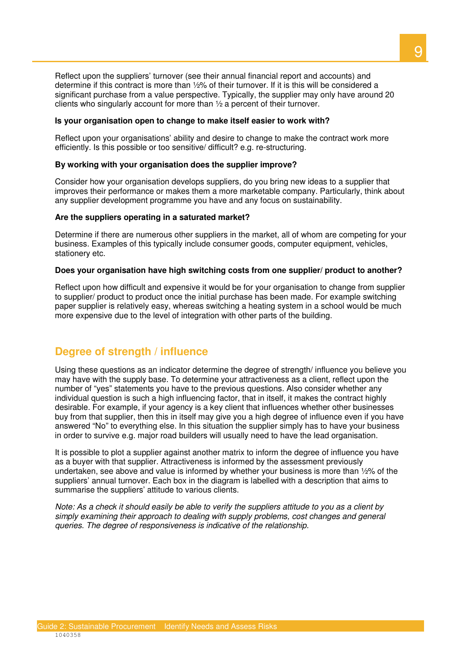Reflect upon the suppliers' turnover (see their annual financial report and accounts) and determine if this contract is more than ½% of their turnover. If it is this will be considered a significant purchase from a value perspective. Typically, the supplier may only have around 20 clients who singularly account for more than ½ a percent of their turnover.

#### **Is your organisation open to change to make itself easier to work with?**

 Reflect upon your organisations' ability and desire to change to make the contract work more efficiently. Is this possible or too sensitive/ difficult? e.g. re-structuring.

#### **By working with your organisation does the supplier improve?**

 Consider how your organisation develops suppliers, do you bring new ideas to a supplier that improves their performance or makes them a more marketable company. Particularly, think about any supplier development programme you have and any focus on sustainability.

#### **Are the suppliers operating in a saturated market?**

 Determine if there are numerous other suppliers in the market, all of whom are competing for your business. Examples of this typically include consumer goods, computer equipment, vehicles, stationery etc.

#### **Does your organisation have high switching costs from one supplier/ product to another?**

 Reflect upon how difficult and expensive it would be for your organisation to change from supplier to supplier/ product to product once the initial purchase has been made. For example switching paper supplier is relatively easy, whereas switching a heating system in a school would be much more expensive due to the level of integration with other parts of the building.

## **Degree of strength / influence**

 Using these questions as an indicator determine the degree of strength/ influence you believe you may have with the supply base. To determine your attractiveness as a client, reflect upon the number of "yes" statements you have to the previous questions. Also consider whether any individual question is such a high influencing factor, that in itself, it makes the contract highly desirable. For example, if your agency is a key client that influences whether other businesses buy from that supplier, then this in itself may give you a high degree of influence even if you have answered "No" to everything else. In this situation the supplier simply has to have your business in order to survive e.g. major road builders will usually need to have the lead organisation.

 It is possible to plot a supplier against another matrix to inform the degree of influence you have as a buyer with that supplier. Attractiveness is informed by the assessment previously undertaken, see above and value is informed by whether your business is more than ½% of the suppliers' annual turnover. Each box in the diagram is labelled with a description that aims to summarise the suppliers' attitude to various clients.

 Note: As a check it should easily be able to verify the suppliers attitude to you as a client by simply examining their approach to dealing with supply problems, cost changes and general queries. The degree of responsiveness is indicative of the relationship.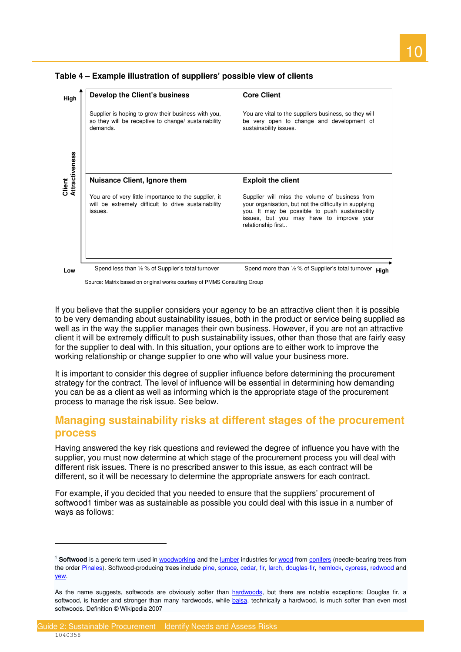

 **Table 4 – Example illustration of suppliers' possible view of clients** 

 $\overline{a}$ 

Source: Matrix based on original works courtesy of PMMS Consulting Group

 If you believe that the supplier considers your agency to be an attractive client then it is possible to be very demanding about sustainability issues, both in the product or service being supplied as well as in the way the supplier manages their own business. However, if you are not an attractive client it will be extremely difficult to push sustainability issues, other than those that are fairly easy for the supplier to deal with. In this situation, your options are to either work to improve the working relationship or change supplier to one who will value your business more.

 It is important to consider this degree of supplier influence before determining the procurement strategy for the contract. The level of influence will be essential in determining how demanding you can be as a client as well as informing which is the appropriate stage of the procurement process to manage the risk issue. See below.

## **Managing sustainability risks at different stages of the procurement process**

 Having answered the key risk questions and reviewed the degree of influence you have with the supplier, you must now determine at which stage of the procurement process you will deal with different risk issues. There is no prescribed answer to this issue, as each contract will be different, so it will be necessary to determine the appropriate answers for each contract.

 For example, if you decided that you needed to ensure that the suppliers' procurement of softwood1 timber was as sustainable as possible you could deal with this issue in a number of ways as follows:

<sup>&</sup>lt;sup>1</sup> Softwood is a generic term used in woodworking and the lumber industries for wood from conifers (needle-bearing trees from the order <u>Pinales</u>). Softwood-producing trees include <u>pine, spruce, cedar, fir, larch, douglas-fir, hemlock, cypress, redwood</u> and yew. <u>yew</u>.<br>As the name suggests, softwoods are obviously softer than <u>hardwoods</u>, but there are notable exceptions; Douglas fir, a

softwood, is harder and stronger than many hardwoods, while <u>balsa,</u> technically a hardwood, is much softer than even most softwoods. Definition © Wikipedia 2007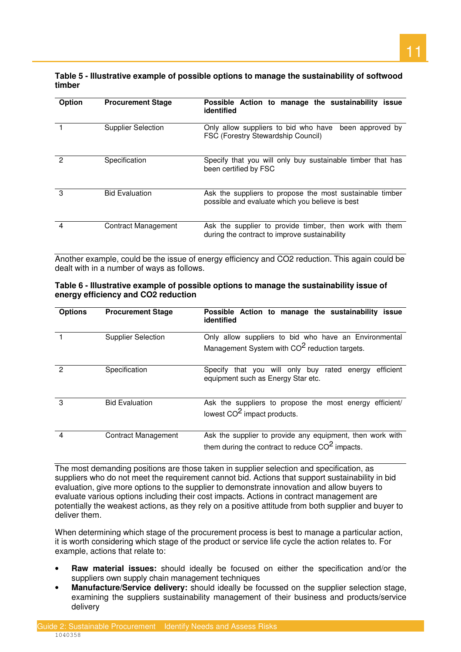#### **Table 5 - Illustrative example of possible options to manage the sustainability of softwood timber**

| <b>Option</b>  | <b>Procurement Stage</b>  | Possible Action to manage the sustainability<br><i>issue</i><br>identified                                  |
|----------------|---------------------------|-------------------------------------------------------------------------------------------------------------|
|                | <b>Supplier Selection</b> | Only allow suppliers to bid who have<br>been approved by<br><b>FSC (Forestry Stewardship Council)</b>       |
| 2              | Specification             | Specify that you will only buy sustainable timber that has<br>been certified by FSC                         |
| 3              | <b>Bid Evaluation</b>     | Ask the suppliers to propose the most sustainable timber<br>possible and evaluate which you believe is best |
| $\overline{4}$ | Contract Management       | Ask the supplier to provide timber, then work with them<br>during the contract to improve sustainability    |

 Another example, could be the issue of energy efficiency and CO2 reduction. This again could be dealt with in a number of ways as follows.

| Table 6 - Illustrative example of possible options to manage the sustainability issue of |  |
|------------------------------------------------------------------------------------------|--|
| energy efficiency and CO2 reduction                                                      |  |

| <b>Options</b> | <b>Procurement Stage</b>   | Possible Action to manage the sustainability<br>issue<br>identified                                                |
|----------------|----------------------------|--------------------------------------------------------------------------------------------------------------------|
|                | <b>Supplier Selection</b>  | Only allow suppliers to bid who have an Environmental<br>Management System with CO <sup>2</sup> reduction targets. |
| 2              | Specification              | efficient<br>that you will only buy<br>rated<br>Specify<br>energy<br>equipment such as Energy Star etc.            |
| 3              | <b>Bid Evaluation</b>      | Ask the suppliers to propose the most energy<br>efficient/<br>lowest CO <sup>2</sup> impact products.              |
| 4              | <b>Contract Management</b> | Ask the supplier to provide any equipment, then work with<br>them during the contract to reduce $CO2$ impacts.     |

 The most demanding positions are those taken in supplier selection and specification, as suppliers who do not meet the requirement cannot bid. Actions that support sustainability in bid evaluation, give more options to the supplier to demonstrate innovation and allow buyers to evaluate various options including their cost impacts. Actions in contract management are potentially the weakest actions, as they rely on a positive attitude from both supplier and buyer to deliver them.

 When determining which stage of the procurement process is best to manage a particular action, it is worth considering which stage of the product or service life cycle the action relates to. For example, actions that relate to:

- Raw material issues: should ideally be focused on either the specification and/or the suppliers own supply chain management techniques
- Manufacture/Service delivery: should ideally be focussed on the supplier selection stage, examining the suppliers sustainability management of their business and products/service delivery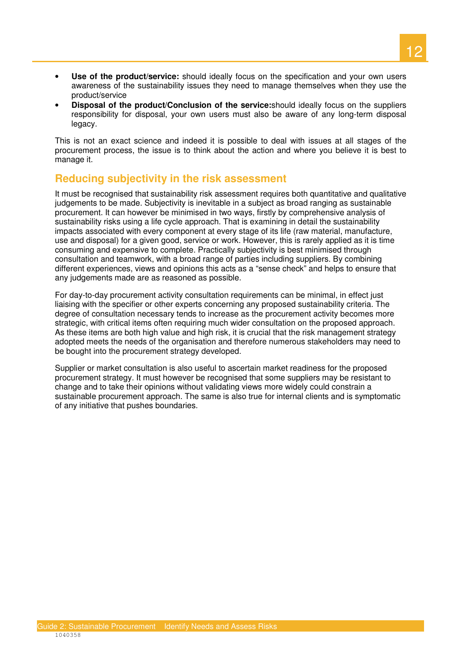- • **Use of the product/service:** should ideally focus on the specification and your own users awareness of the sustainability issues they need to manage themselves when they use the product/service
- • **Disposal of the product/Conclusion of the service:**should ideally focus on the suppliers responsibility for disposal, your own users must also be aware of any long-term disposal legacy.

 legacy. This is not an exact science and indeed it is possible to deal with issues at all stages of the procurement process, the issue is to think about the action and where you believe it is best to manage it.

## **Reducing subjectivity in the risk assessment**

 It must be recognised that sustainability risk assessment requires both quantitative and qualitative judgements to be made. Subjectivity is inevitable in a subject as broad ranging as sustainable procurement. It can however be minimised in two ways, firstly by comprehensive analysis of sustainability risks using a life cycle approach. That is examining in detail the sustainability impacts associated with every component at every stage of its life (raw material, manufacture, use and disposal) for a given good, service or work. However, this is rarely applied as it is time consuming and expensive to complete. Practically subjectivity is best minimised through consultation and teamwork, with a broad range of parties including suppliers. By combining different experiences, views and opinions this acts as a "sense check" and helps to ensure that any judgements made are as reasoned as possible.

 For day-to-day procurement activity consultation requirements can be minimal, in effect just liaising with the specifier or other experts concerning any proposed sustainability criteria. The degree of consultation necessary tends to increase as the procurement activity becomes more strategic, with critical items often requiring much wider consultation on the proposed approach. As these items are both high value and high risk, it is crucial that the risk management strategy adopted meets the needs of the organisation and therefore numerous stakeholders may need to be bought into the procurement strategy developed.

 Supplier or market consultation is also useful to ascertain market readiness for the proposed procurement strategy. It must however be recognised that some suppliers may be resistant to change and to take their opinions without validating views more widely could constrain a sustainable procurement approach. The same is also true for internal clients and is symptomatic of any initiative that pushes boundaries.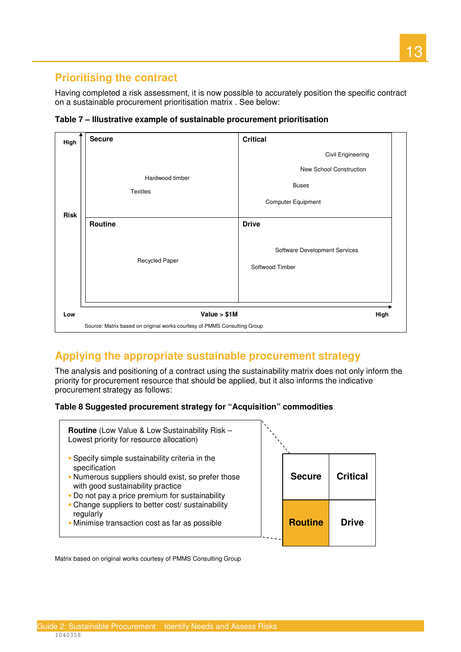## **Prioritising the contract**

 Having completed a risk assessment, it is now possible to accurately position the specific contract on a sustainable procurement prioritisation matrix . See below:

| High        | <b>Secure</b>                                                            | <b>Critical</b>                                                                           |  |
|-------------|--------------------------------------------------------------------------|-------------------------------------------------------------------------------------------|--|
| <b>Risk</b> | Hardwood timber<br><b>Textiles</b>                                       | Civil Engineering<br><b>New School Construction</b><br><b>Buses</b><br>Computer Equipment |  |
|             | Routine<br>Recycled Paper                                                | <b>Drive</b><br>Software Development Services<br>Softwood Timber                          |  |
| Low         | Value $> $1M$                                                            | High                                                                                      |  |
|             | Source: Matrix based on original works courtesy of PMMS Consulting Group |                                                                                           |  |

 **Table 7 – Illustrative example of sustainable procurement prioritisation** 

## **Applying the appropriate sustainable procurement strategy**

 The analysis and positioning of a contract using the sustainability matrix does not only inform the priority for procurement resource that should be applied, but it also informs the indicative procurement strategy as follows:

#### **Table 8 Suggested procurement strategy for "Acquisition" commodities**



Matrix based on original works courtesy of PMMS Consulting Group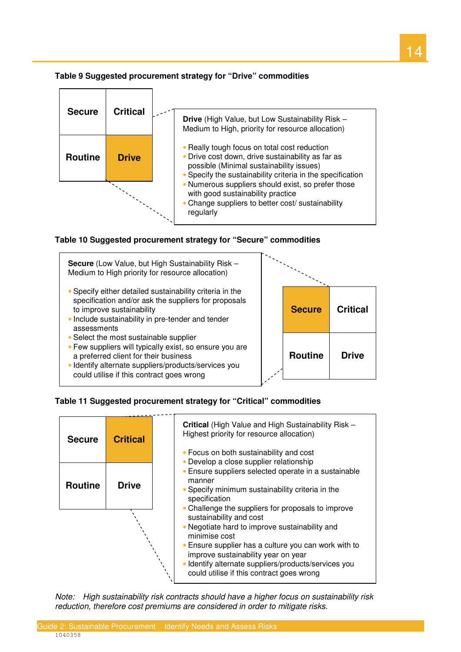



 **Table 10 Suggested procurement strategy for "Secure" commodities** 



- • Few suppliers will typically exist, so ensure you are a preferred client for their business
- • Identify alternate suppliers/products/services you could utilise if this contract goes wrong



 **Table 11 Suggested procurement strategy for "Critical" commodities** 



 Note: High sustainability risk contracts should have a higher focus on sustainability risk reduction, therefore cost premiums are considered in order to mitigate risks.